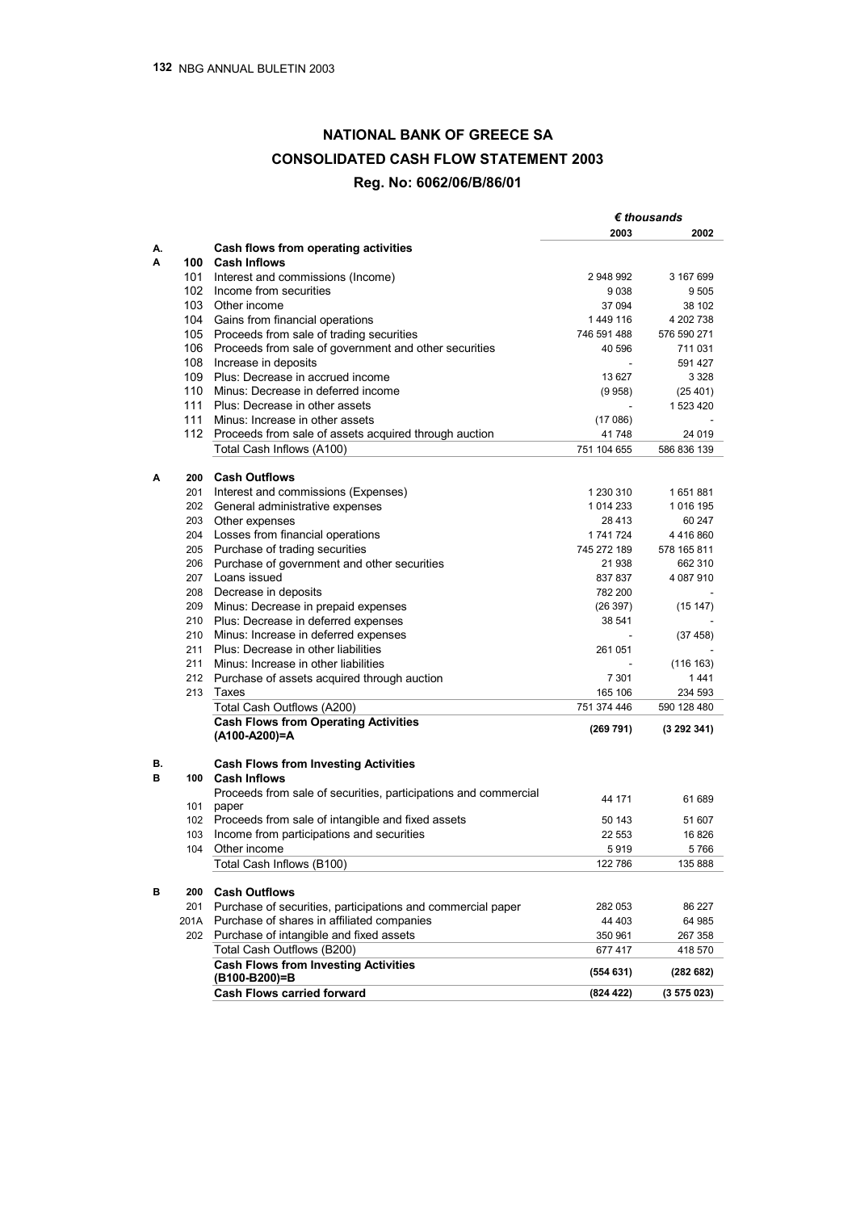## **NATIONAL BANK OF GREECE SA CONSOLIDATED CASH FLOW STATEMENT 2003 Reg. No: 6062/06/Β/86/01**

|    |      |                                                                 | $\epsilon$ thousands                                     |                                              |
|----|------|-----------------------------------------------------------------|----------------------------------------------------------|----------------------------------------------|
|    |      |                                                                 | 2003                                                     | 2002                                         |
| А. |      | Cash flows from operating activities                            |                                                          |                                              |
| Α  |      | 100 Cash Inflows                                                |                                                          |                                              |
|    | 101  | Interest and commissions (Income)                               | 2 948 992                                                | 3 167 699                                    |
|    | 102  | Income from securities                                          | 9038                                                     | 9505                                         |
|    |      | 103 Other income                                                | 37 094<br>1449 116                                       | 38 102<br>4 202 738                          |
|    | 104  | Gains from financial operations                                 |                                                          |                                              |
|    | 105  | Proceeds from sale of trading securities                        | 746 591 488                                              | 576 590 271                                  |
|    | 106  | Proceeds from sale of government and other securities           | 40 596                                                   | 711 031                                      |
|    | 108  | Increase in deposits                                            | $\overline{\phantom{a}}$<br>13 6 27<br>(9958)<br>(17086) | 591 427<br>3 3 2 8<br>(25, 401)<br>1 523 420 |
|    | 109  | Plus: Decrease in accrued income                                |                                                          |                                              |
|    | 110  | Minus: Decrease in deferred income                              |                                                          |                                              |
|    | 111  | Plus: Decrease in other assets                                  |                                                          |                                              |
|    | 111  | Minus: Increase in other assets                                 |                                                          |                                              |
|    |      | 112 Proceeds from sale of assets acquired through auction       | 41748                                                    | 24 019                                       |
|    |      | Total Cash Inflows (A100)                                       | 751 104 655                                              | 586 836 139                                  |
|    |      |                                                                 |                                                          |                                              |
| Α  | 200  | <b>Cash Outflows</b>                                            |                                                          |                                              |
|    | 201  | Interest and commissions (Expenses)                             | 1 230 310                                                | 1651881                                      |
|    | 202  | General administrative expenses                                 | 1 0 14 2 3 3                                             | 1 016 195                                    |
|    | 203  | Other expenses                                                  | 28413                                                    | 60 247                                       |
|    | 204  | Losses from financial operations                                | 1 741 724                                                | 4416860<br>578 165 811                       |
|    | 205  | Purchase of trading securities                                  | 745 272 189                                              |                                              |
|    | 206  | Purchase of government and other securities                     | 21938                                                    | 662 310                                      |
|    | 207  | Loans issued                                                    | 837837                                                   | 4 087 910                                    |
|    | 208  | Decrease in deposits                                            | 782 200                                                  |                                              |
|    | 209  | Minus: Decrease in prepaid expenses                             | (26 397)                                                 | (15147)<br>(37 458)<br>(116 163)<br>1441     |
|    | 210  | Plus: Decrease in deferred expenses                             | 38 541                                                   |                                              |
|    | 210  | Minus: Increase in deferred expenses                            | 261 051<br>7 3 0 1                                       |                                              |
|    | 211  | Plus: Decrease in other liabilities                             |                                                          |                                              |
|    | 211  | Minus: Increase in other liabilities                            |                                                          |                                              |
|    |      | 212 Purchase of assets acquired through auction                 |                                                          |                                              |
|    | 213  | Taxes                                                           | 165 106                                                  | 234 593                                      |
|    |      | Total Cash Outflows (A200)                                      | 751 374 446                                              | 590 128 480                                  |
|    |      | <b>Cash Flows from Operating Activities</b>                     |                                                          |                                              |
|    |      | (A100-A200)=A                                                   | (269 791)                                                | (3 292 341)                                  |
|    |      |                                                                 |                                                          |                                              |
| В. |      | <b>Cash Flows from Investing Activities</b>                     |                                                          |                                              |
| в  | 100  | <b>Cash Inflows</b>                                             |                                                          |                                              |
|    |      | Proceeds from sale of securities, participations and commercial | 44 171                                                   | 61 689                                       |
|    | 101  | paper                                                           |                                                          |                                              |
|    |      | 102 Proceeds from sale of intangible and fixed assets           | 50 143                                                   | 51 607                                       |
|    | 103  | Income from participations and securities                       | 22 5 53                                                  | 16826                                        |
|    | 104  | Other income                                                    | 5919                                                     | 5766                                         |
|    |      | Total Cash Inflows (B100)                                       | 122786                                                   | 135 888                                      |
| В  | 200  | <b>Cash Outflows</b>                                            |                                                          |                                              |
|    | 201  | Purchase of securities, participations and commercial paper     | 282 053                                                  | 86 227                                       |
|    | 201A | Purchase of shares in affiliated companies                      | 44 403                                                   | 64 985                                       |
|    | 202  | Purchase of intangible and fixed assets                         | 350 961                                                  | 267 358                                      |
|    |      | Total Cash Outflows (B200)                                      | 677417                                                   | 418 570                                      |
|    |      | <b>Cash Flows from Investing Activities</b>                     |                                                          |                                              |
|    |      | (B100-B200)=B                                                   | (554631)                                                 | (282682)                                     |
|    |      | <b>Cash Flows carried forward</b>                               | (824 422)                                                | (3 575 023)                                  |
|    |      |                                                                 |                                                          |                                              |